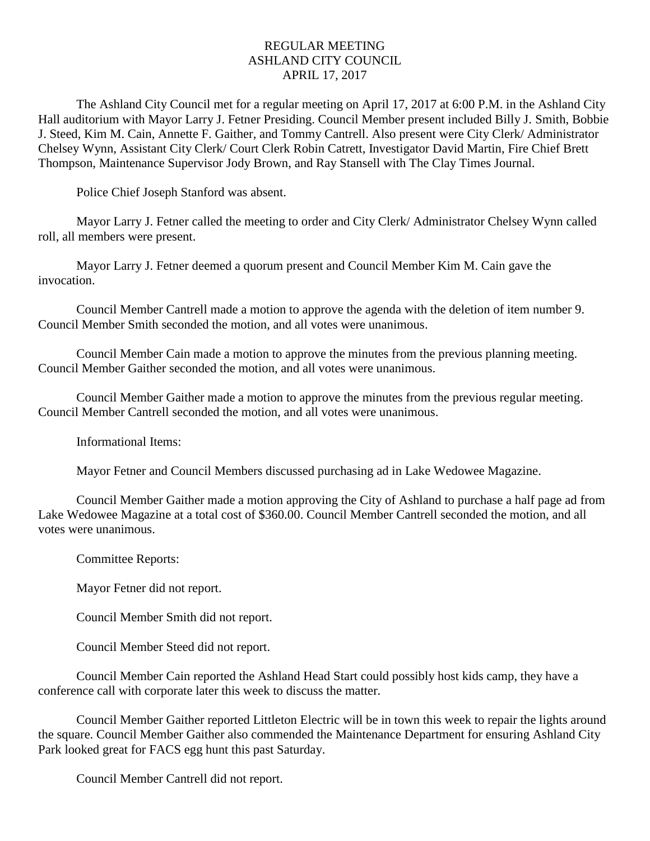## REGULAR MEETING ASHLAND CITY COUNCIL APRIL 17, 2017

The Ashland City Council met for a regular meeting on April 17, 2017 at 6:00 P.M. in the Ashland City Hall auditorium with Mayor Larry J. Fetner Presiding. Council Member present included Billy J. Smith, Bobbie J. Steed, Kim M. Cain, Annette F. Gaither, and Tommy Cantrell. Also present were City Clerk/ Administrator Chelsey Wynn, Assistant City Clerk/ Court Clerk Robin Catrett, Investigator David Martin, Fire Chief Brett Thompson, Maintenance Supervisor Jody Brown, and Ray Stansell with The Clay Times Journal.

Police Chief Joseph Stanford was absent.

Mayor Larry J. Fetner called the meeting to order and City Clerk/ Administrator Chelsey Wynn called roll, all members were present.

Mayor Larry J. Fetner deemed a quorum present and Council Member Kim M. Cain gave the invocation.

Council Member Cantrell made a motion to approve the agenda with the deletion of item number 9. Council Member Smith seconded the motion, and all votes were unanimous.

Council Member Cain made a motion to approve the minutes from the previous planning meeting. Council Member Gaither seconded the motion, and all votes were unanimous.

Council Member Gaither made a motion to approve the minutes from the previous regular meeting. Council Member Cantrell seconded the motion, and all votes were unanimous.

Informational Items:

Mayor Fetner and Council Members discussed purchasing ad in Lake Wedowee Magazine.

Council Member Gaither made a motion approving the City of Ashland to purchase a half page ad from Lake Wedowee Magazine at a total cost of \$360.00. Council Member Cantrell seconded the motion, and all votes were unanimous.

Committee Reports:

Mayor Fetner did not report.

Council Member Smith did not report.

Council Member Steed did not report.

Council Member Cain reported the Ashland Head Start could possibly host kids camp, they have a conference call with corporate later this week to discuss the matter.

Council Member Gaither reported Littleton Electric will be in town this week to repair the lights around the square. Council Member Gaither also commended the Maintenance Department for ensuring Ashland City Park looked great for FACS egg hunt this past Saturday.

Council Member Cantrell did not report.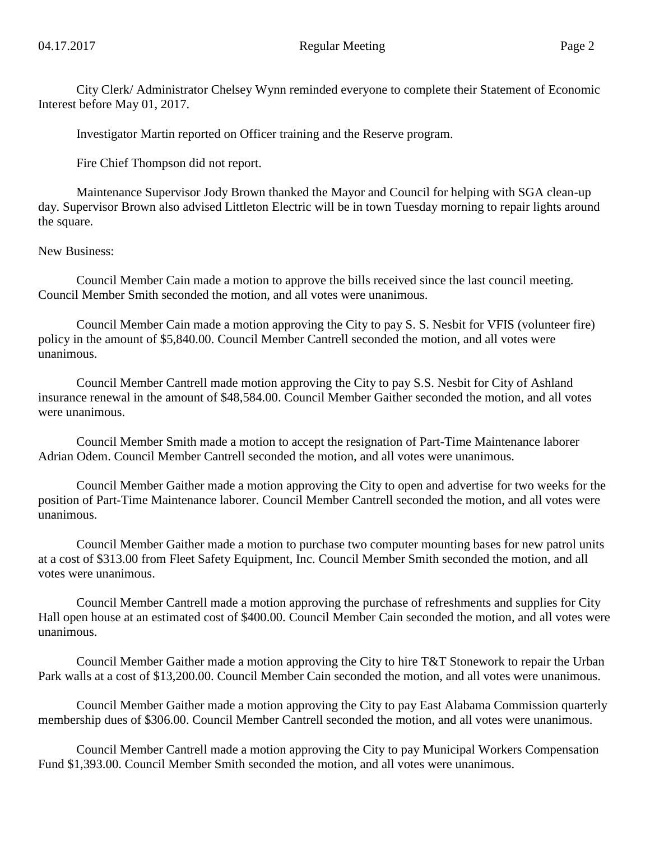City Clerk/ Administrator Chelsey Wynn reminded everyone to complete their Statement of Economic Interest before May 01, 2017.

Investigator Martin reported on Officer training and the Reserve program.

Fire Chief Thompson did not report.

Maintenance Supervisor Jody Brown thanked the Mayor and Council for helping with SGA clean-up day. Supervisor Brown also advised Littleton Electric will be in town Tuesday morning to repair lights around the square.

New Business:

Council Member Cain made a motion to approve the bills received since the last council meeting. Council Member Smith seconded the motion, and all votes were unanimous.

Council Member Cain made a motion approving the City to pay S. S. Nesbit for VFIS (volunteer fire) policy in the amount of \$5,840.00. Council Member Cantrell seconded the motion, and all votes were unanimous.

Council Member Cantrell made motion approving the City to pay S.S. Nesbit for City of Ashland insurance renewal in the amount of \$48,584.00. Council Member Gaither seconded the motion, and all votes were unanimous.

Council Member Smith made a motion to accept the resignation of Part-Time Maintenance laborer Adrian Odem. Council Member Cantrell seconded the motion, and all votes were unanimous.

Council Member Gaither made a motion approving the City to open and advertise for two weeks for the position of Part-Time Maintenance laborer. Council Member Cantrell seconded the motion, and all votes were unanimous.

Council Member Gaither made a motion to purchase two computer mounting bases for new patrol units at a cost of \$313.00 from Fleet Safety Equipment, Inc. Council Member Smith seconded the motion, and all votes were unanimous.

Council Member Cantrell made a motion approving the purchase of refreshments and supplies for City Hall open house at an estimated cost of \$400.00. Council Member Cain seconded the motion, and all votes were unanimous.

Council Member Gaither made a motion approving the City to hire T&T Stonework to repair the Urban Park walls at a cost of \$13,200.00. Council Member Cain seconded the motion, and all votes were unanimous.

Council Member Gaither made a motion approving the City to pay East Alabama Commission quarterly membership dues of \$306.00. Council Member Cantrell seconded the motion, and all votes were unanimous.

Council Member Cantrell made a motion approving the City to pay Municipal Workers Compensation Fund \$1,393.00. Council Member Smith seconded the motion, and all votes were unanimous.